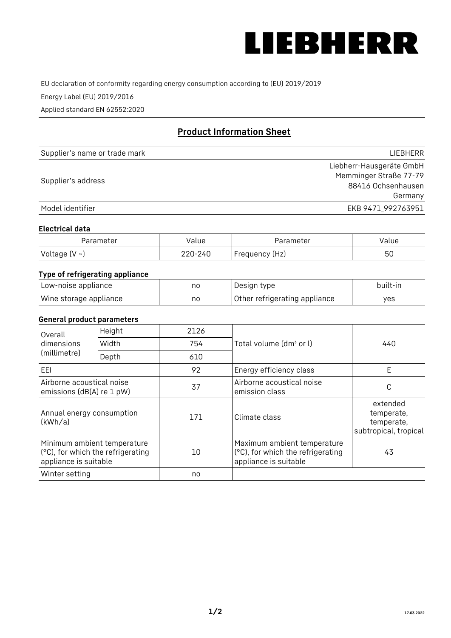

EU declaration of conformity regarding energy consumption according to (EU) 2019/2019

Energy Label (EU) 2019/2016

Applied standard EN 62552:2020

# **Product Information Sheet**

| Supplier's name or trade mark | <b>LIFBHFRR</b>          |
|-------------------------------|--------------------------|
|                               | Liebherr-Hausgeräte GmbH |
| Supplier's address            | Memminger Straße 77-79   |
|                               | 88416 Ochsenhausen       |
|                               | Germany                  |
| Model identifier              | EKB 9471 992763951       |

#### **Electrical data**

| Parameter           | Value   | Parameter      | Value |
|---------------------|---------|----------------|-------|
| Voltage (V $\sim$ ) | 220-240 | Frequency (Hz) | 50    |

# **Type of refrigerating appliance**

| Low-noise appliance    | no | Design type                   | built-in |
|------------------------|----|-------------------------------|----------|
| Wine storage appliance | no | Other refrigerating appliance | yes      |

## **General product parameters**

| Height<br>Overall                                      |                                                                  | 2126 |                                                                                           |                                                               |
|--------------------------------------------------------|------------------------------------------------------------------|------|-------------------------------------------------------------------------------------------|---------------------------------------------------------------|
| dimensions<br>(millimetre)                             | Width                                                            | 754  | Total volume (dm <sup>3</sup> or l)                                                       | 440                                                           |
|                                                        | Depth                                                            | 610  |                                                                                           |                                                               |
| EEL                                                    |                                                                  | 92   | Energy efficiency class                                                                   | E                                                             |
| Airborne acoustical noise<br>emissions (dB(A) re 1 pW) |                                                                  | 37   | Airborne acoustical noise<br>emission class                                               | С                                                             |
| Annual energy consumption<br>(kWh/a)                   |                                                                  | 171  | Climate class                                                                             | extended<br>temperate,<br>temperate,<br>subtropical, tropical |
| appliance is suitable                                  | Minimum ambient temperature<br>(°C), for which the refrigerating | 10   | Maximum ambient temperature<br>(°C), for which the refrigerating<br>appliance is suitable | 43                                                            |
| Winter setting                                         |                                                                  | no   |                                                                                           |                                                               |